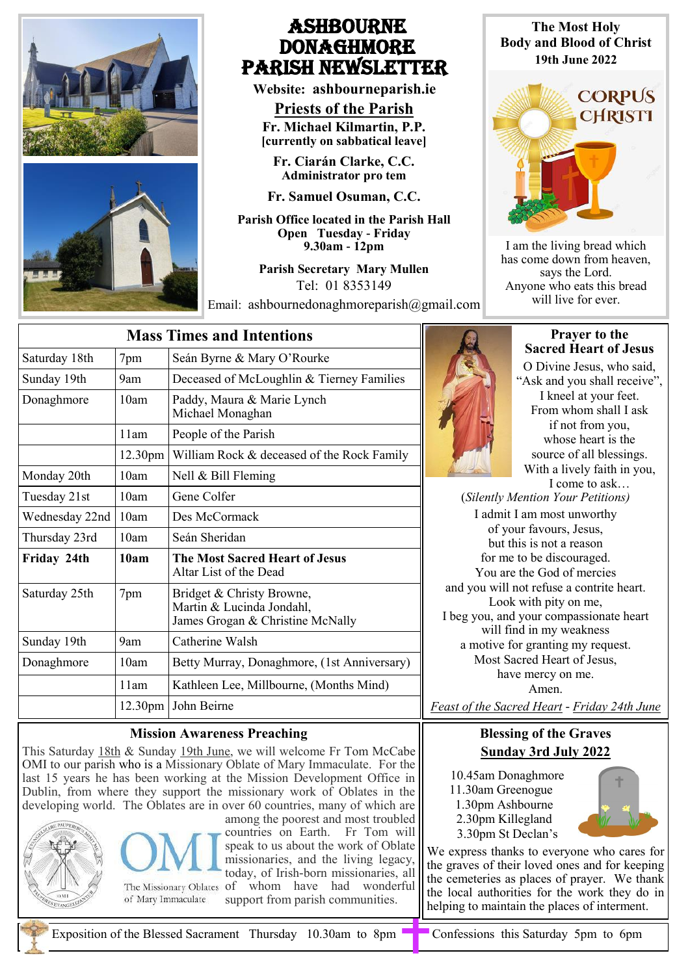

# **ASHBOURNE DONAGHMORE** Parish NEWSLETTER

**Website: ashbourneparish.ie**

**Priests of the Parish Fr. Michael Kilmartin, P.P. [currently on sabbatical leave]**

**Fr. Ciarán Clarke, C.C. Administrator pro tem**

**Fr. Samuel Osuman, C.C.**

**Parish Office located in the Parish Hall Open Tuesday - Friday 9.30am - 12pm**

> **Parish Secretary Mary Mullen** Tel: 01 8353149

Email: ashbournedonaghmoreparish@gmail.com

**The Most Holy Body and Blood of Christ 19th June 2022**



I am the living bread which has come down from heaven, says the Lord. Anyone who eats this bread will live for ever.

| <b>Mass Times and Intentions</b> |                     |                                                                                            |
|----------------------------------|---------------------|--------------------------------------------------------------------------------------------|
| Saturday 18th                    | 7pm                 | Seán Byrne & Mary O'Rourke                                                                 |
| Sunday 19th                      | 9am                 | Deceased of McLoughlin & Tierney Families                                                  |
| Donaghmore                       | 10am                | Paddy, Maura & Marie Lynch<br>Michael Monaghan                                             |
|                                  | 11am                | People of the Parish                                                                       |
|                                  | 12.30 <sub>pm</sub> | William Rock & deceased of the Rock Family                                                 |
| Monday 20th                      | 10am                | Nell & Bill Fleming                                                                        |
| Tuesday 21st                     | 10am                | Gene Colfer                                                                                |
| Wednesday 22nd                   | 10am                | Des McCormack                                                                              |
| Thursday 23rd                    | 10am                | Seán Sheridan                                                                              |
| Friday 24th                      | 10am                | <b>The Most Sacred Heart of Jesus</b><br>Altar List of the Dead                            |
| Saturday 25th                    | 7pm                 | Bridget & Christy Browne,<br>Martin & Lucinda Jondahl,<br>James Grogan & Christine McNally |
| Sunday 19th                      | 9am                 | Catherine Walsh                                                                            |
| Donaghmore                       | 10am                | Betty Murray, Donaghmore, (1st Anniversary)                                                |
|                                  | 11am                | Kathleen Lee, Millbourne, (Months Mind)                                                    |
|                                  |                     | 12.30pm John Beirne                                                                        |

### **Mission Awareness Preaching**

This Saturday 18th & Sunday 19th June, we will welcome Fr Tom McCabe OMI to our parish who is a Missionary Oblate of Mary Immaculate. For the last 15 years he has been working at the Mission Development Office in Dublin, from where they support the missionary work of Oblates in the developing world. The Oblates are in over 60 countries, many of which are





of Mary Immaculate

among the poorest and most troubled countries on Earth. Fr Tom will speak to us about the work of Oblate missionaries, and the living legacy, today, of Irish-born missionaries, all The Missionary Oblates of whom have had wonderful support from parish communities.



#### **Prayer to the Sacred Heart of Jesus**

O Divine Jesus, who said, "Ask and you shall receive", I kneel at your feet. From whom shall I ask if not from you, whose heart is the source of all blessings. With a lively faith in you, I come to ask…

(*Silently Mention Your Petitions)* I admit I am most unworthy of your favours, Jesus, but this is not a reason for me to be discouraged. You are the God of mercies and you will not refuse a contrite heart. Look with pity on me, I beg you, and your compassionate heart will find in my weakness a motive for granting my request. Most Sacred Heart of Jesus, have mercy on me.

Amen.

*Feast of the Sacred Heart - Friday 24th June*

# **Blessing of the Graves Sunday 3rd July 2022**

 10.45am Donaghmore 11.30am Greenogue 1.30pm Ashbourne 2.30pm Killegland 3.30pm St Declan's



We express thanks to everyone who cares for the graves of their loved ones and for keeping the cemeteries as places of prayer. We thank the local authorities for the work they do in helping to maintain the places of interment.